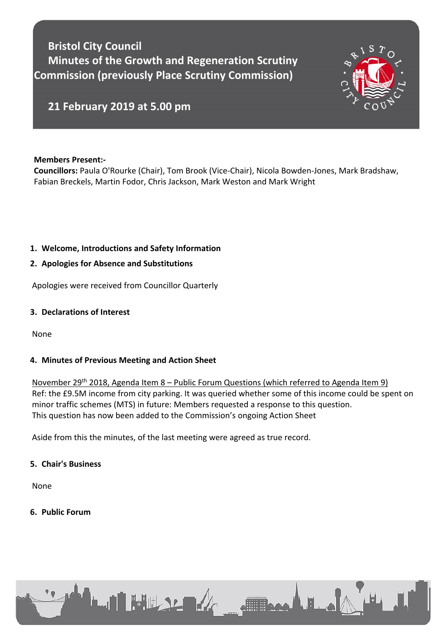**Bristol City Council Minutes of the Growth and Regeneration Scrutiny Commission (previously Place Scrutiny Commission)**



# **21 February 2019 at 5.00 pm**

#### **Members Present:-**

**Councillors:** Paula O'Rourke (Chair), Tom Brook (Vice-Chair), Nicola Bowden-Jones, Mark Bradshaw, Fabian Breckels, Martin Fodor, Chris Jackson, Mark Weston and Mark Wright

# **1. Welcome, Introductions and Safety Information**

# **2. Apologies for Absence and Substitutions**

Apologies were received from Councillor Quarterly

#### **3. Declarations of Interest**

None

# **4. Minutes of Previous Meeting and Action Sheet**

November 29th 2018, Agenda Item 8 – Public Forum Questions (which referred to Agenda Item 9) Ref: the £9.5M income from city parking. It was queried whether some of this income could be spent on minor traffic schemes (MTS) in future: Members requested a response to this question. This question has now been added to the Commission's ongoing Action Sheet

Aside from this the minutes, of the last meeting were agreed as true record.

#### **5. Chair's Business**

None

**6. Public Forum**

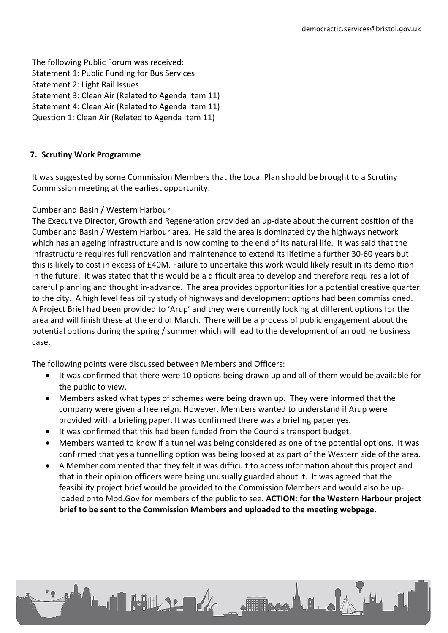The following Public Forum was received: Statement 1: Public Funding for Bus Services Statement 2: Light Rail Issues Statement 3: Clean Air (Related to Agenda Item 11) Statement 4: Clean Air (Related to Agenda Item 11) Question 1: Clean Air (Related to Agenda Item 11)

## **7. Scrutiny Work Programme**

It was suggested by some Commission Members that the Local Plan should be brought to a Scrutiny Commission meeting at the earliest opportunity.

## Cumberland Basin / Western Harbour

The Executive Director, Growth and Regeneration provided an up-date about the current position of the Cumberland Basin / Western Harbour area. He said the area is dominated by the highways network which has an ageing infrastructure and is now coming to the end of its natural life. It was said that the infrastructure requires full renovation and maintenance to extend its lifetime a further 30-60 years but this is likely to cost in excess of £40M. Failure to undertake this work would likely result in its demolition in the future. It was stated that this would be a difficult area to develop and therefore requires a lot of careful planning and thought in-advance. The area provides opportunities for a potential creative quarter to the city. A high level feasibility study of highways and development options had been commissioned. A Project Brief had been provided to 'Arup' and they were currently looking at different options for the area and will finish these at the end of March. There will be a process of public engagement about the potential options during the spring / summer which will lead to the development of an outline business case.

The following points were discussed between Members and Officers:

**LUI FULLSLEA** 

- It was confirmed that there were 10 options being drawn up and all of them would be available for the public to view.
- Members asked what types of schemes were being drawn up. They were informed that the company were given a free reign. However, Members wanted to understand if Arup were provided with a briefing paper. It was confirmed there was a briefing paper yes.
- It was confirmed that this had been funded from the Councils transport budget.
- Members wanted to know if a tunnel was being considered as one of the potential options. It was confirmed that yes a tunnelling option was being looked at as part of the Western side of the area.
- A Member commented that they felt it was difficult to access information about this project and that in their opinion officers were being unusually guarded about it. It was agreed that the feasibility project brief would be provided to the Commission Members and would also be uploaded onto Mod.Gov for members of the public to see. **ACTION: for the Western Harbour project brief to be sent to the Commission Members and uploaded to the meeting webpage.**

**STERNOLD BLO**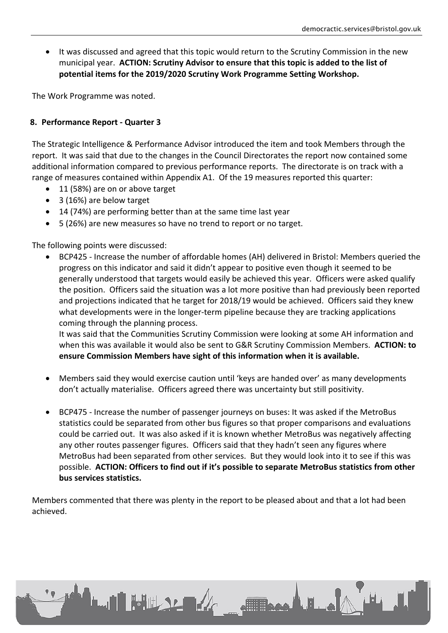It was discussed and agreed that this topic would return to the Scrutiny Commission in the new municipal year. **ACTION: Scrutiny Advisor to ensure that this topic is added to the list of potential items for the 2019/2020 Scrutiny Work Programme Setting Workshop.**

The Work Programme was noted.

## **8. Performance Report - Quarter 3**

The Strategic Intelligence & Performance Advisor introduced the item and took Members through the report. It was said that due to the changes in the Council Directorates the report now contained some additional information compared to previous performance reports. The directorate is on track with a range of measures contained within Appendix A1. Of the 19 measures reported this quarter:

- 11 (58%) are on or above target
- 3 (16%) are below target
- 14 (74%) are performing better than at the same time last year
- 5 (26%) are new measures so have no trend to report or no target.

The following points were discussed:

 BCP425 - Increase the number of affordable homes (AH) delivered in Bristol: Members queried the progress on this indicator and said it didn't appear to positive even though it seemed to be generally understood that targets would easily be achieved this year. Officers were asked qualify the position. Officers said the situation was a lot more positive than had previously been reported and projections indicated that he target for 2018/19 would be achieved. Officers said they knew what developments were in the longer-term pipeline because they are tracking applications coming through the planning process.

It was said that the Communities Scrutiny Commission were looking at some AH information and when this was available it would also be sent to G&R Scrutiny Commission Members. **ACTION: to ensure Commission Members have sight of this information when it is available.**

- Members said they would exercise caution until 'keys are handed over' as many developments don't actually materialise. Officers agreed there was uncertainty but still positivity.
- BCP475 Increase the number of passenger journeys on buses: It was asked if the MetroBus statistics could be separated from other bus figures so that proper comparisons and evaluations could be carried out. It was also asked if it is known whether MetroBus was negatively affecting any other routes passenger figures. Officers said that they hadn't seen any figures where MetroBus had been separated from other services. But they would look into it to see if this was possible. **ACTION: Officers to find out if it's possible to separate MetroBus statistics from other bus services statistics.**

Members commented that there was plenty in the report to be pleased about and that a lot had been achieved.

**LATE WEBSTERN** 

Frank La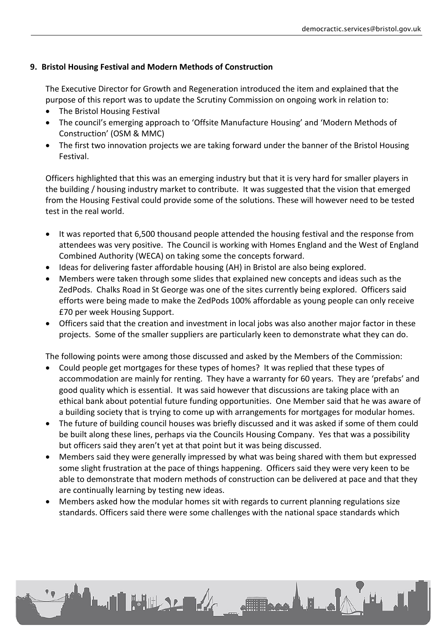# **9. Bristol Housing Festival and Modern Methods of Construction**

The Executive Director for Growth and Regeneration introduced the item and explained that the purpose of this report was to update the Scrutiny Commission on ongoing work in relation to:

- The Bristol Housing Festival
- The council's emerging approach to 'Offsite Manufacture Housing' and 'Modern Methods of Construction' (OSM & MMC)
- The first two innovation projects we are taking forward under the banner of the Bristol Housing Festival.

Officers highlighted that this was an emerging industry but that it is very hard for smaller players in the building / housing industry market to contribute. It was suggested that the vision that emerged from the Housing Festival could provide some of the solutions. These will however need to be tested test in the real world.

- It was reported that 6,500 thousand people attended the housing festival and the response from attendees was very positive. The Council is working with Homes England and the West of England Combined Authority (WECA) on taking some the concepts forward.
- Ideas for delivering faster affordable housing (AH) in Bristol are also being explored.
- Members were taken through some slides that explained new concepts and ideas such as the ZedPods. Chalks Road in St George was one of the sites currently being explored. Officers said efforts were being made to make the ZedPods 100% affordable as young people can only receive £70 per week Housing Support.
- Officers said that the creation and investment in local jobs was also another major factor in these projects. Some of the smaller suppliers are particularly keen to demonstrate what they can do.

The following points were among those discussed and asked by the Members of the Commission:

- Could people get mortgages for these types of homes? It was replied that these types of accommodation are mainly for renting. They have a warranty for 60 years. They are 'prefabs' and good quality which is essential. It was said however that discussions are taking place with an ethical bank about potential future funding opportunities. One Member said that he was aware of a building society that is trying to come up with arrangements for mortgages for modular homes.
- The future of building council houses was briefly discussed and it was asked if some of them could be built along these lines, perhaps via the Councils Housing Company. Yes that was a possibility but officers said they aren't yet at that point but it was being discussed.
- Members said they were generally impressed by what was being shared with them but expressed some slight frustration at the pace of things happening. Officers said they were very keen to be able to demonstrate that modern methods of construction can be delivered at pace and that they are continually learning by testing new ideas.

These LE .

 Members asked how the modular homes sit with regards to current planning regulations size standards. Officers said there were some challenges with the national space standards which

**LAN HULLAR ARE**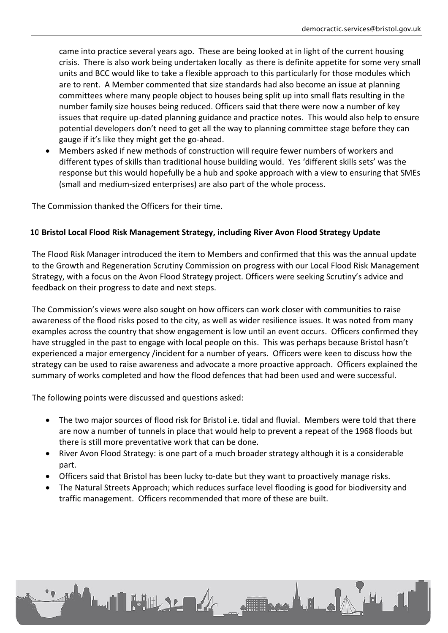came into practice several years ago. These are being looked at in light of the current housing crisis. There is also work being undertaken locally as there is definite appetite for some very small units and BCC would like to take a flexible approach to this particularly for those modules which are to rent. A Member commented that size standards had also become an issue at planning committees where many people object to houses being split up into small flats resulting in the number family size houses being reduced. Officers said that there were now a number of key issues that require up-dated planning guidance and practice notes. This would also help to ensure potential developers don't need to get all the way to planning committee stage before they can gauge if it's like they might get the go-ahead.

 Members asked if new methods of construction will require fewer numbers of workers and different types of skills than traditional house building would. Yes 'different skills sets' was the response but this would hopefully be a hub and spoke approach with a view to ensuring that SMEs (small and medium-sized enterprises) are also part of the whole process.

The Commission thanked the Officers for their time.

## **10.Bristol Local Flood Risk Management Strategy, including River Avon Flood Strategy Update**

The Flood Risk Manager introduced the item to Members and confirmed that this was the annual update to the Growth and Regeneration Scrutiny Commission on progress with our Local Flood Risk Management Strategy, with a focus on the Avon Flood Strategy project. Officers were seeking Scrutiny's advice and feedback on their progress to date and next steps.

The Commission's views were also sought on how officers can work closer with communities to raise awareness of the flood risks posed to the city, as well as wider resilience issues. It was noted from many examples across the country that show engagement is low until an event occurs. Officers confirmed they have struggled in the past to engage with local people on this. This was perhaps because Bristol hasn't experienced a major emergency /incident for a number of years. Officers were keen to discuss how the strategy can be used to raise awareness and advocate a more proactive approach. Officers explained the summary of works completed and how the flood defences that had been used and were successful.

The following points were discussed and questions asked:

**LAN HULLY ARE** 

- The two major sources of flood risk for Bristol i.e. tidal and fluvial. Members were told that there are now a number of tunnels in place that would help to prevent a repeat of the 1968 floods but there is still more preventative work that can be done.
- River Avon Flood Strategy: is one part of a much broader strategy although it is a considerable part.
- Officers said that Bristol has been lucky to-date but they want to proactively manage risks.
- The Natural Streets Approach; which reduces surface level flooding is good for biodiversity and traffic management. Officers recommended that more of these are built.

For La La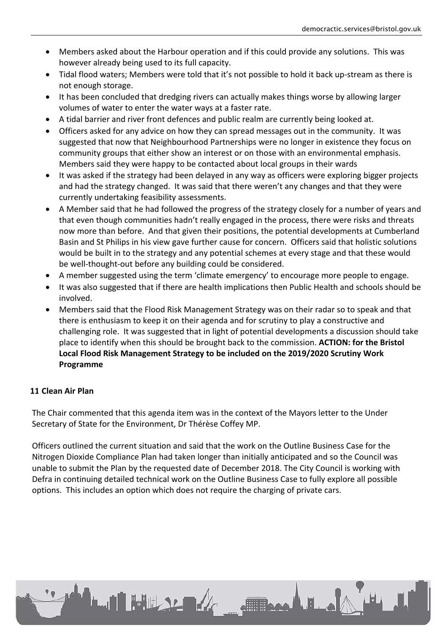- Members asked about the Harbour operation and if this could provide any solutions. This was however already being used to its full capacity.
- Tidal flood waters; Members were told that it's not possible to hold it back up-stream as there is not enough storage.
- It has been concluded that dredging rivers can actually makes things worse by allowing larger volumes of water to enter the water ways at a faster rate.
- A tidal barrier and river front defences and public realm are currently being looked at.
- Officers asked for any advice on how they can spread messages out in the community. It was suggested that now that Neighbourhood Partnerships were no longer in existence they focus on community groups that either show an interest or on those with an environmental emphasis. Members said they were happy to be contacted about local groups in their wards
- It was asked if the strategy had been delayed in any way as officers were exploring bigger projects and had the strategy changed. It was said that there weren't any changes and that they were currently undertaking feasibility assessments.
- A Member said that he had followed the progress of the strategy closely for a number of years and that even though communities hadn't really engaged in the process, there were risks and threats now more than before. And that given their positions, the potential developments at Cumberland Basin and St Philips in his view gave further cause for concern. Officers said that holistic solutions would be built in to the strategy and any potential schemes at every stage and that these would be well-thought-out before any building could be considered.
- A member suggested using the term 'climate emergency' to encourage more people to engage.
- It was also suggested that if there are health implications then Public Health and schools should be involved.
- Members said that the Flood Risk Management Strategy was on their radar so to speak and that there is enthusiasm to keep it on their agenda and for scrutiny to play a constructive and challenging role. It was suggested that in light of potential developments a discussion should take place to identify when this should be brought back to the commission. **ACTION: for the Bristol Local Flood Risk Management Strategy to be included on the 2019/2020 Scrutiny Work Programme**

# **11.Clean Air Plan**

The Chair commented that this agenda item was in the context of the Mayors letter to the Under Secretary of State for the Environment, Dr Thérèse Coffey MP.

Officers outlined the current situation and said that the work on the Outline Business Case for the Nitrogen Dioxide Compliance Plan had taken longer than initially anticipated and so the Council was unable to submit the Plan by the requested date of December 2018. The City Council is working with Defra in continuing detailed technical work on the Outline Business Case to fully explore all possible options. This includes an option which does not require the charging of private cars.

**LAN HULLER** 

ALL A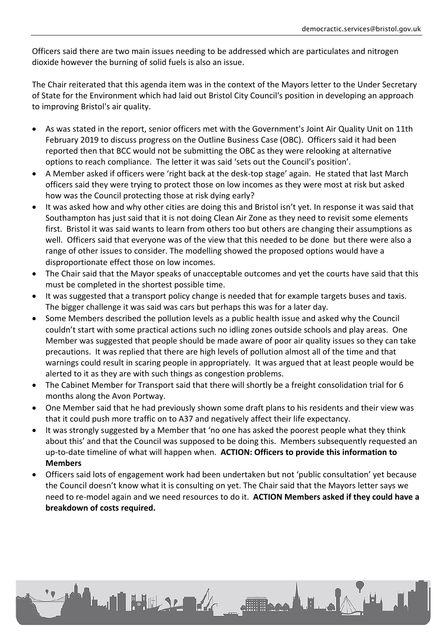Officers said there are two main issues needing to be addressed which are particulates and nitrogen dioxide however the burning of solid fuels is also an issue.

The Chair reiterated that this agenda item was in the context of the Mayors letter to the Under Secretary of State for the Environment which had laid out Bristol City Council's position in developing an approach to improving Bristol's air quality.

- As was stated in the report, senior officers met with the Government's Joint Air Quality Unit on 11th February 2019 to discuss progress on the Outline Business Case (OBC). Officers said it had been reported then that BCC would not be submitting the OBC as they were relooking at alternative options to reach compliance. The letter it was said 'sets out the Council's position'.
- A Member asked if officers were 'right back at the desk-top stage' again. He stated that last March officers said they were trying to protect those on low incomes as they were most at risk but asked how was the Council protecting those at risk dying early?
- It was asked how and why other cities are doing this and Bristol isn't yet. In response it was said that Southampton has just said that it is not doing Clean Air Zone as they need to revisit some elements first. Bristol it was said wants to learn from others too but others are changing their assumptions as well. Officers said that everyone was of the view that this needed to be done but there were also a range of other issues to consider. The modelling showed the proposed options would have a disproportionate effect those on low incomes.
- The Chair said that the Mayor speaks of unacceptable outcomes and yet the courts have said that this must be completed in the shortest possible time.
- It was suggested that a transport policy change is needed that for example targets buses and taxis. The bigger challenge it was said was cars but perhaps this was for a later day.
- Some Members described the pollution levels as a public health issue and asked why the Council couldn't start with some practical actions such no idling zones outside schools and play areas. One Member was suggested that people should be made aware of poor air quality issues so they can take precautions. It was replied that there are high levels of pollution almost all of the time and that warnings could result in scaring people in appropriately. It was argued that at least people would be alerted to it as they are with such things as congestion problems.
- The Cabinet Member for Transport said that there will shortly be a freight consolidation trial for 6 months along the Avon Portway.
- One Member said that he had previously shown some draft plans to his residents and their view was that it could push more traffic on to A37 and negatively affect their life expectancy.
- It was strongly suggested by a Member that 'no one has asked the poorest people what they think about this' and that the Council was supposed to be doing this. Members subsequently requested an up-to-date timeline of what will happen when. **ACTION: Officers to provide this information to Members**
- Officers said lots of engagement work had been undertaken but not 'public consultation' yet because the Council doesn't know what it is consulting on yet. The Chair said that the Mayors letter says we need to re-model again and we need resources to do it. **ACTION Members asked if they could have a breakdown of costs required.**

**LAN HULLER** 

10 Base La